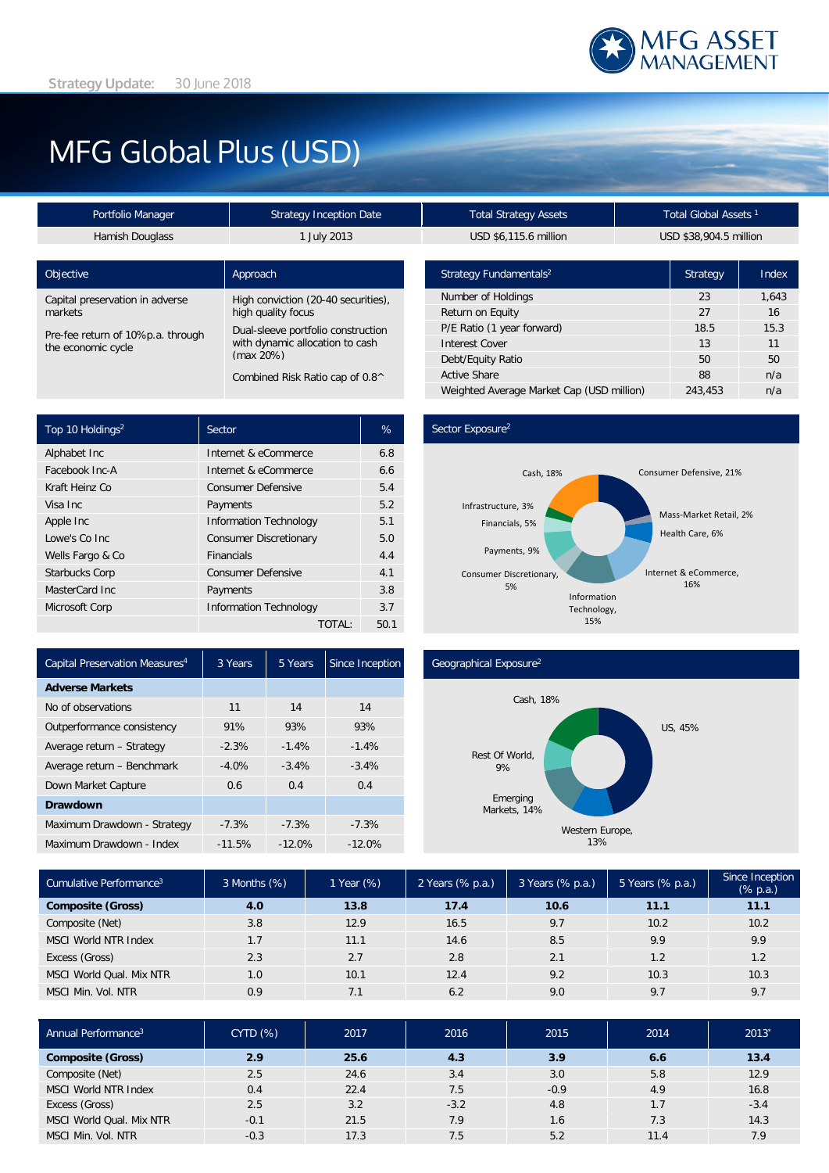

# MFG Global Plus (USD)

| <b>Strategy Inception Date</b>                                                        | <b>Total Strategy Assets</b>       |                        | Total Global Assets <sup>1</sup> |  |
|---------------------------------------------------------------------------------------|------------------------------------|------------------------|----------------------------------|--|
| 1 July 2013                                                                           | USD \$6,115.6 million              | USD \$38,904.5 million |                                  |  |
|                                                                                       |                                    |                        |                                  |  |
| Approach                                                                              | Strategy Fundamentals <sup>2</sup> | Strategy               |                                  |  |
| High conviction (20-40 securities),                                                   | Number of Holdings                 | 23                     |                                  |  |
| high quality focus                                                                    | Return on Equity                   | 27                     |                                  |  |
| Dual-sleeve portfolio construction<br>with dynamic allocation to cash<br>$(max 20\%)$ | P/E Ratio (1 year forward)         | 18.5                   |                                  |  |
|                                                                                       | <b>Interest Cover</b>              | 13                     |                                  |  |
|                                                                                       | Debt/Equity Ratio                  | 50                     |                                  |  |
| Combined Risk Ratio cap of 0.8^                                                       | <b>Active Share</b>                | 88                     |                                  |  |
|                                                                                       |                                    |                        |                                  |  |

| USD \$6,115.6 million                     | USD \$38,904.5 million |       |  |
|-------------------------------------------|------------------------|-------|--|
|                                           |                        |       |  |
| Strategy Fundamentals <sup>2</sup>        | Strategy               | Index |  |
| Number of Holdings                        | 23                     | 1,643 |  |
| Return on Equity                          | 27                     | 16    |  |
| P/E Ratio (1 year forward)                | 18.5                   | 15.3  |  |
| <b>Interest Cover</b>                     | 13                     | 11    |  |
| Debt/Equity Ratio                         | 50                     | 50    |  |
| <b>Active Share</b>                       | 88                     | n/a   |  |
| Weighted Average Market Cap (USD million) | 243,453                | n/a   |  |

| Top 10 Holdings <sup>2</sup> | Sector                        | %    |
|------------------------------|-------------------------------|------|
| Alphabet Inc                 | Internet & eCommerce          | 6.8  |
| Facebook Inc-A               | Internet & eCommerce          | 6.6  |
| Kraft Heinz Co               | <b>Consumer Defensive</b>     | 5.4  |
| Visa Inc.                    | Payments                      | 5.2  |
| Apple Inc                    | <b>Information Technology</b> | 5.1  |
| Lowe's Co Inc.               | <b>Consumer Discretionary</b> | 5.0  |
| Wells Fargo & Co             | <b>Financials</b>             | 4.4  |
| <b>Starbucks Corp</b>        | <b>Consumer Defensive</b>     | 4.1  |
| MasterCard Inc.              | Payments                      | 3.8  |
| Microsoft Corp               | <b>Information Technology</b> | 3.7  |
|                              | TOTAL:                        | 50.1 |

## Sector Exposure<sup>2</sup>



| Capital Preservation Measures <sup>4</sup> | 3 Years  | 5 Years   | Since Inception |
|--------------------------------------------|----------|-----------|-----------------|
| <b>Adverse Markets</b>                     |          |           |                 |
| No of observations                         | 11       | 14        | 14              |
| Outperformance consistency                 | 91%      | 93%       | 93%             |
| Average return - Strategy                  | $-2.3%$  | $-1.4%$   | $-1.4%$         |
| Average return - Benchmark                 | $-4.0%$  | $-3.4%$   | $-3.4%$         |
| Down Market Capture                        | 0.6      | 0.4       | 0.4             |
| <b>Drawdown</b>                            |          |           |                 |
| Maximum Drawdown - Strategy                | $-7.3%$  | $-7.3%$   | $-7.3%$         |
| Maximum Drawdown - Index                   | $-11.5%$ | $-12.0\%$ | $-12.0\%$       |

### Geographical Exposure2



| Cumulative Performance <sup>3</sup> | 3 Months (%) | 1 Year (%) | 2 Years (% p.a.) | 3 Years (% p.a.) | 5 Years $(\%$ p.a.) | Since Inception<br>$(% \mathbb{R}^2)$ (% p.a.) |
|-------------------------------------|--------------|------------|------------------|------------------|---------------------|------------------------------------------------|
| <b>Composite (Gross)</b>            | 4.0          | 13.8       | 17.4             | 10.6             | 11.1                | 11.1                                           |
| Composite (Net)                     | 3.8          | 12.9       | 16.5             | 9.7              | 10.2                | 10.2                                           |
| <b>MSCI World NTR Index</b>         | 1.7          | 11.1       | 14.6             | 8.5              | 9.9                 | 9.9                                            |
| Excess (Gross)                      | 2.3          | 2.7        | 2.8              | 2.1              | 1.2                 | 1.2                                            |
| MSCI World Qual. Mix NTR            | 1.0          | 10.1       | 12.4             | 9.2              | 10.3                | 10.3                                           |
| MSCI Min. Vol. NTR                  | 0.9          | 7.1        | 6.2              | 9.0              | 9.7                 | 9.7                                            |

| Annual Performance <sup>3</sup> | <b>CYTD (%)</b> | 2017 | 2016   | 2015   | 2014 | 2013'  |
|---------------------------------|-----------------|------|--------|--------|------|--------|
| <b>Composite (Gross)</b>        | 2.9             | 25.6 | 4.3    | 3.9    | 6.6  | 13.4   |
| Composite (Net)                 | 2.5             | 24.6 | 3.4    | 3.0    | 5.8  | 12.9   |
| <b>MSCI World NTR Index</b>     | 0.4             | 22.4 | 7.5    | $-0.9$ | 4.9  | 16.8   |
| Excess (Gross)                  | 2.5             | 3.2  | $-3.2$ | 4.8    | 1.7  | $-3.4$ |
| MSCI World Qual. Mix NTR        | $-0.1$          | 21.5 | 7.9    | 1.6    | 7.3  | 14.3   |
| MSCI Min. Vol. NTR              | $-0.3$          | 17.3 | 7.5    | 5.2    | 11.4 | 7.9    |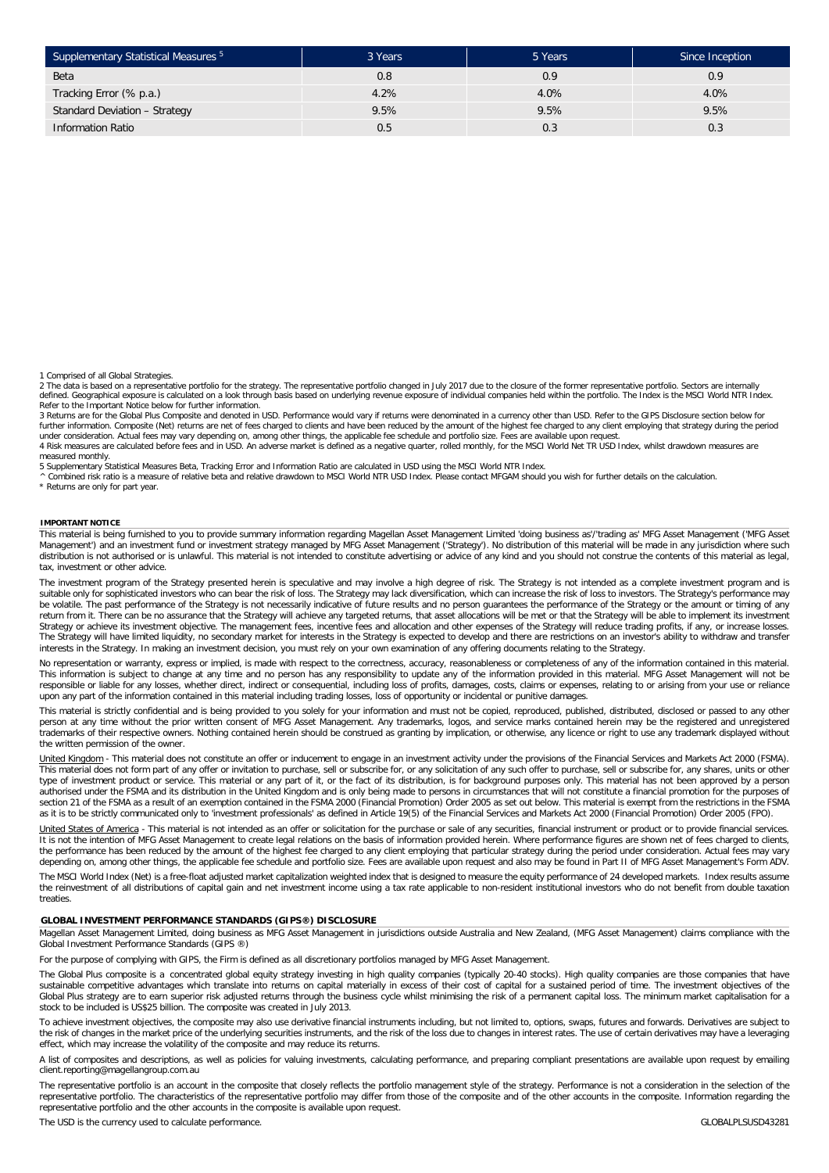| Supplementary Statistical Measures 5 | 3 Years | 5 Years | Since Inception |
|--------------------------------------|---------|---------|-----------------|
| Beta                                 | 0.8     | 0.9     | 0.9             |
| Tracking Error (% p.a.)              | 4.2%    | 4.0%    | 4.0%            |
| Standard Deviation - Strategy        | 9.5%    | 9.5%    | 9.5%            |
| <b>Information Ratio</b>             | U.5     | 0.3     | 0.3             |

1 Comprised of all Global Strategies.

2 The data is based on a representative portfolio for the strategy. The representative portfolio changed in July 2017 due to the closure of the former representative portfolio. Sectors are internally defined. Geographical exposure is calculated on a look through basis based on underlying revenue exposure of individual companies held within the portfolio. The Index is the MSCI World NTR Index. Refer to the Important Notice below for further information.

3 Returns are for the Global Plus Composite and denoted in USD. Performance would vary if returns were denominated in a currency other than USD. Refer to the GIPS Disclosure section below for<br>further information. Composite

measured monthly. 5 Supplementary Statistical Measures Beta, Tracking Error and Information Ratio are calculated in USD using the MSCI World NTR Index.

^ Combined risk ratio is a measure of relative beta and relative drawdown to MSCI World NTR USD Index. Please contact MFGAM should you wish for further details on the calculation.

\* Returns are only for part year.

#### **IMPORTANT NOTICE**

This material is being furnished to you to provide summary information regarding Magellan Asset Management Limited 'doing business as'/'trading as' MFG Asset Management ('MFG Asset Management') and an investment fund or investment strategy managed by MFG Asset Management ('Strategy'). No distribution of this material will be made in any jurisdiction where such<br>distribution is not authorised or is unl tax, investment or other advice.

The investment program of the Strategy presented herein is speculative and may involve a high degree of risk. The Strategy is not intended as a complete investment program and is<br>suitable only for sophisticated investors w be volatile. The past performance of the Strategy is not necessarily indicative of future results and no person guarantees the performance of the Strategy or the amount or timing of any return from it. There can be no assurance that the Strategy will achieve any targeted returns, that asset allocations will be met or that the Strategy will be able to implement its investment Strategy or achieve its investment objective. The management fees, incentive fees and allocation and other expenses of the Strategy will reduce trading profits, if any, or increase losses.<br>The Strategy will have limited li interests in the Strategy. In making an investment decision, you must rely on your own examination of any offering documents relating to the Strategy.

No representation or warranty, express or implied, is made with respect to the correctness, accuracy, reasonableness or completeness of any of the information contained in this material. This information is subject to change at any time and no person has any responsibility to update any of the information provided in this material. MFG Asset Management will not be<br>responsible or liable for any losses, whet

This material is strictly confidential and is being provided to you solely for your information and must not be copied, reproduced, published, distributed, disclosed or passed to any other<br>person at any time without the pr trademarks of their respective owners. Nothing contained herein should be construed as granting by implication, or otherwise, any licence or right to use any trademark displayed without the written permission of the owner.

<u>United Kingdom</u> - This material does not constitute an offer or inducement to engage in an investment activity under the provisions of the Financial Services and Markets Act 2000 (FSMA).<br>This material does not form part o type of investment product or service. This material or any part of it, or the fact of its distribution, is for background purposes only. This material has not been approved by a person authorised under the FSMA and its distribution in the United Kingdom and is only being made to persons in circumstances that will not constitute a financial promotion for the purposes of<br>section 21 of the FSMA as a result

United States of America - This material is not intended as an offer or solicitation for the purchase or sale of any securities, financial instrument or product or to provide financial services. It is not the intention of MFG Asset Management to create legal relations on the basis of information provided herein. Where performance figures are shown net of fees charged to clients, the performance has been reduced by the amount of the highest fee charged to any client employing that particular strategy during the period under consideration. Actual fees may vary depending on, among other things, the applicable fee schedule and portfolio size. Fees are available upon request and also may be found in Part II of MFG Asset Management's Form ADV.

The MSCI World Index (Net) is a free-float adjusted market capitalization weighted index that is designed to measure the equity performance of 24 developed markets. Index results assume<br>the reinvestment of all distribution treaties

#### **GLOBAL INVESTMENT PERFORMANCE STANDARDS (GIPS®) DISCLOSURE**

Magellan Asset Management Limited, doing business as MFG Asset Management in jurisdictions outside Australia and New Zealand, (MFG Asset Management) claims compliance with the Global Investment Performance Standards (GIPS ®)

For the purpose of complying with GIPS, the Firm is defined as all discretionary portfolios managed by MFG Asset Management.

The Global Plus composite is a concentrated global equity strategy investing in high quality companies (typically 20-40 stocks). High quality companies are those companies that have sustainable competitive advantages which translate into returns on capital materially in excess of their cost of capital for a sustained period of time. The investment objectives of the Global Plus strategy are to earn superior risk adjusted returns through the business cycle whilst minimising the risk of a permanent capital loss. The minimum market capitalisation for a stock to be included is US\$25 billion. The composite was created in July 2013.

To achieve investment objectives, the composite may also use derivative financial instruments including, but not limited to, options, swaps, futures and forwards. Derivatives are subject to the risk of changes in the market price of the underlying securities instruments, and the risk of the loss due to changes in interest rates. The use of certain derivatives may have a leveraging<br>effect, which may increase t

A list of composites and descriptions, as well as policies for valuing investments, calculating performance, and preparing compliant presentations are available upon request by emailing client.reporting@magellangroup.com.au

The representative portfolio is an account in the composite that closely reflects the portfolio management style of the strategy. Performance is not a consideration in the selection of the representative portfolio. The characteristics of the representative portfolio may differ from those of the composite and of the other accounts in the composite. Information regarding the<br>representative portfolio and the ot

The USD is the currency used to calculate performance. CLOBALPLSUSD43281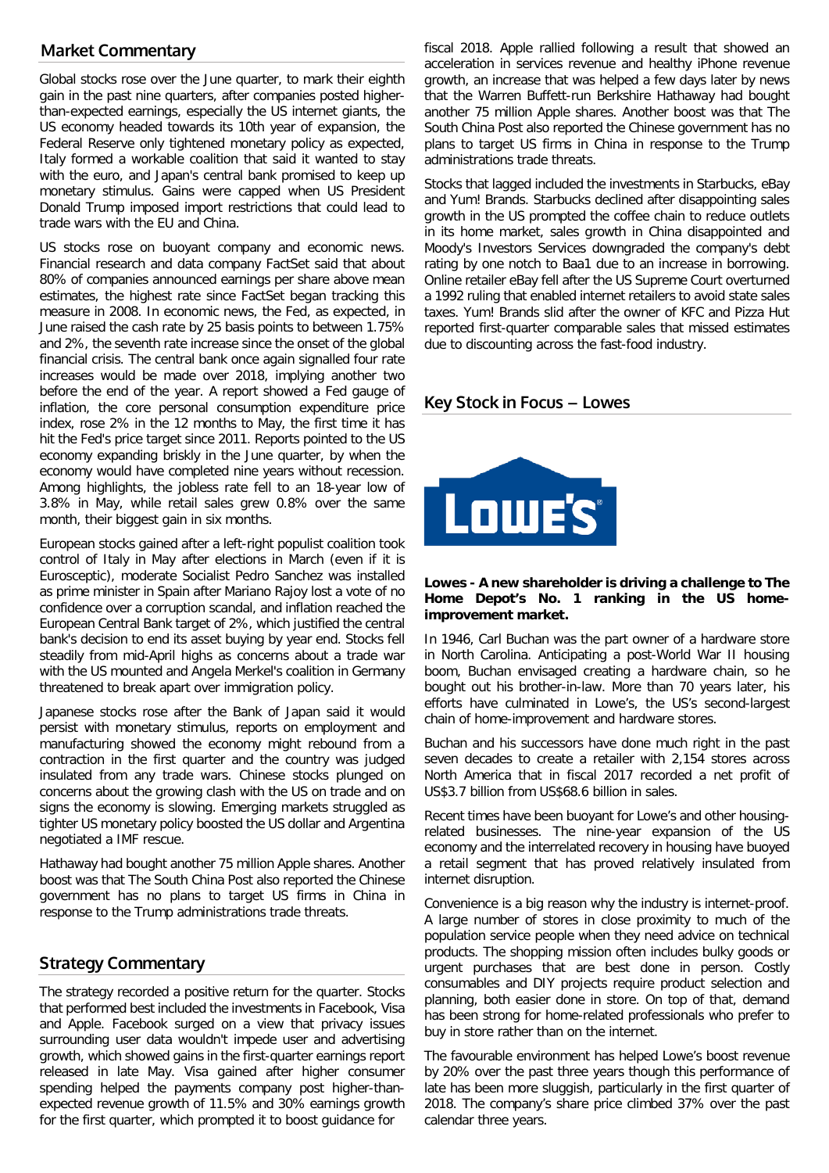# **Market Commentary**

Global stocks rose over the June quarter, to mark their eighth gain in the past nine quarters, after companies posted higherthan-expected earnings, especially the US internet giants, the US economy headed towards its 10th year of expansion, the Federal Reserve only tightened monetary policy as expected, Italy formed a workable coalition that said it wanted to stay with the euro, and Japan's central bank promised to keep up monetary stimulus. Gains were capped when US President Donald Trump imposed import restrictions that could lead to trade wars with the EU and China.

US stocks rose on buoyant company and economic news. Financial research and data company FactSet said that about 80% of companies announced earnings per share above mean estimates, the highest rate since FactSet began tracking this measure in 2008. In economic news, the Fed, as expected, in June raised the cash rate by 25 basis points to between 1.75% and 2%, the seventh rate increase since the onset of the global financial crisis. The central bank once again signalled four rate increases would be made over 2018, implying another two before the end of the year. A report showed a Fed gauge of inflation, the core personal consumption expenditure price index, rose 2% in the 12 months to May, the first time it has hit the Fed's price target since 2011. Reports pointed to the US economy expanding briskly in the June quarter, by when the economy would have completed nine years without recession. Among highlights, the jobless rate fell to an 18-year low of 3.8% in May, while retail sales grew 0.8% over the same month, their biggest gain in six months.

European stocks gained after a left-right populist coalition took control of Italy in May after elections in March (even if it is Eurosceptic), moderate Socialist Pedro Sanchez was installed as prime minister in Spain after Mariano Rajoy lost a vote of no confidence over a corruption scandal, and inflation reached the European Central Bank target of 2%, which justified the central bank's decision to end its asset buying by year end. Stocks fell steadily from mid-April highs as concerns about a trade war with the US mounted and Angela Merkel's coalition in Germany threatened to break apart over immigration policy.

Japanese stocks rose after the Bank of Japan said it would persist with monetary stimulus, reports on employment and manufacturing showed the economy might rebound from a contraction in the first quarter and the country was judged insulated from any trade wars. Chinese stocks plunged on concerns about the growing clash with the US on trade and on signs the economy is slowing. Emerging markets struggled as tighter US monetary policy boosted the US dollar and Argentina negotiated a IMF rescue.

Hathaway had bought another 75 million Apple shares. Another boost was that The South China Post also reported the Chinese government has no plans to target US firms in China in response to the Trump administrations trade threats.

# **Strategy Commentary**

The strategy recorded a positive return for the quarter. Stocks that performed best included the investments in Facebook, Visa and Apple. Facebook surged on a view that privacy issues surrounding user data wouldn't impede user and advertising growth, which showed gains in the first-quarter earnings report released in late May. Visa gained after higher consumer spending helped the payments company post higher-thanexpected revenue growth of 11.5% and 30% earnings growth for the first quarter, which prompted it to boost guidance for

fiscal 2018. Apple rallied following a result that showed an acceleration in services revenue and healthy iPhone revenue growth, an increase that was helped a few days later by news that the Warren Buffett-run Berkshire Hathaway had bought another 75 million Apple shares. Another boost was that The South China Post also reported the Chinese government has no plans to target US firms in China in response to the Trump administrations trade threats.

Stocks that lagged included the investments in Starbucks, eBay and Yum! Brands. Starbucks declined after disappointing sales growth in the US prompted the coffee chain to reduce outlets in its home market, sales growth in China disappointed and Moody's Investors Services downgraded the company's debt rating by one notch to Baa1 due to an increase in borrowing. Online retailer eBay fell after the US Supreme Court overturned a 1992 ruling that enabled internet retailers to avoid state sales taxes. Yum! Brands slid after the owner of KFC and Pizza Hut reported first-quarter comparable sales that missed estimates due to discounting across the fast-food industry.

# **Key Stock in Focus – Lowes**



## **Lowes - A new shareholder is driving a challenge to The Home Depot's No. 1 ranking in the US homeimprovement market.**

In 1946, Carl Buchan was the part owner of a hardware store in North Carolina. Anticipating a post-World War II housing boom, Buchan envisaged creating a hardware chain, so he bought out his brother-in-law. More than 70 years later, his efforts have culminated in Lowe's, the US's second-largest chain of home-improvement and hardware stores.

Buchan and his successors have done much right in the past seven decades to create a retailer with 2,154 stores across North America that in fiscal 2017 recorded a net profit of US\$3.7 billion from US\$68.6 billion in sales.

Recent times have been buoyant for Lowe's and other housingrelated businesses. The nine-year expansion of the US economy and the interrelated recovery in housing have buoyed a retail segment that has proved relatively insulated from internet disruption.

Convenience is a big reason why the industry is internet-proof. A large number of stores in close proximity to much of the population service people when they need advice on technical products. The shopping mission often includes bulky goods or urgent purchases that are best done in person. Costly consumables and DIY projects require product selection and planning, both easier done in store. On top of that, demand has been strong for home-related professionals who prefer to buy in store rather than on the internet.

The favourable environment has helped Lowe's boost revenue by 20% over the past three years though this performance of late has been more sluggish, particularly in the first quarter of 2018. The company's share price climbed 37% over the past calendar three years.